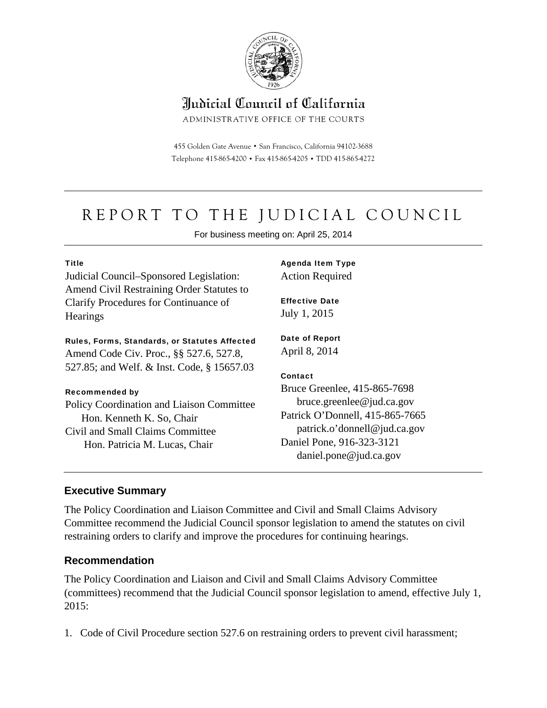

# Indicial Council of California

ADMINISTRATIVE OFFICE OF THE COURTS

455 Golden Gate Avenue · San Francisco, California 94102-3688 Telephone 415-865-4200 . Fax 415-865-4205 . TDD 415-865-4272

# REPORT TO THE JUDICIAL COUNCIL

For business meeting on: April 25, 2014

#### Title

Judicial Council–Sponsored Legislation: Amend Civil Restraining Order Statutes to Clarify Procedures for Continuance of **Hearings** 

#### Rules, Forms, Standards, or Statutes Affected

Amend Code Civ. Proc., §§ 527.6, 527.8, 527.85; and Welf. & Inst. Code, § 15657.03

#### Recommended by

Policy Coordination and Liaison Committee Hon. Kenneth K. So, Chair Civil and Small Claims Committee Hon. Patricia M. Lucas, Chair

Agenda Item Type Action Required

Effective Date July 1, 2015

Date of Report April 8, 2014

#### **Contact**

Bruce Greenlee, 415-865-7698 bruce.greenlee@jud.ca.gov Patrick O'Donnell, 415-865-7665 patrick.o'donnell@jud.ca.gov Daniel Pone, 916-323-3121 daniel.pone@jud.ca.gov

### **Executive Summary**

The Policy Coordination and Liaison Committee and Civil and Small Claims Advisory Committee recommend the Judicial Council sponsor legislation to amend the statutes on civil restraining orders to clarify and improve the procedures for continuing hearings.

### **Recommendation**

The Policy Coordination and Liaison and Civil and Small Claims Advisory Committee (committees) recommend that the Judicial Council sponsor legislation to amend, effective July 1, 2015:

1. Code of Civil Procedure section 527.6 on restraining orders to prevent civil harassment;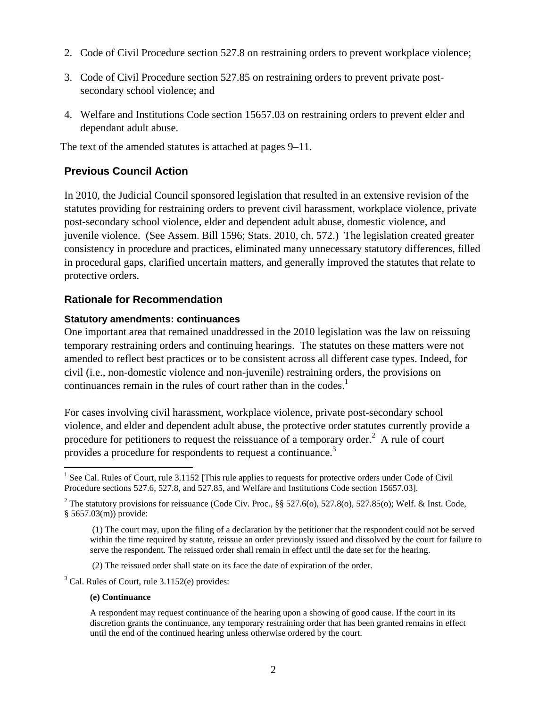- 2. Code of Civil Procedure section 527.8 on restraining orders to prevent workplace violence;
- 3. Code of Civil Procedure section 527.85 on restraining orders to prevent private postsecondary school violence; and
- 4. Welfare and Institutions Code section 15657.03 on restraining orders to prevent elder and dependant adult abuse.

The text of the amended statutes is attached at pages 9–11.

### **Previous Council Action**

In 2010, the Judicial Council sponsored legislation that resulted in an extensive revision of the statutes providing for restraining orders to prevent civil harassment, workplace violence, private post-secondary school violence, elder and dependent adult abuse, domestic violence, and juvenile violence. (See Assem. Bill 1596; Stats. 2010, ch. 572.) The legislation created greater consistency in procedure and practices, eliminated many unnecessary statutory differences, filled in procedural gaps, clarified uncertain matters, and generally improved the statutes that relate to protective orders.

### **Rationale for Recommendation**

#### **Statutory amendments: continuances**

One important area that remained unaddressed in the 2010 legislation was the law on reissuing temporary restraining orders and continuing hearings. The statutes on these matters were not amended to reflect best practices or to be consistent across all different case types. Indeed, for civil (i.e., non-domestic violence and non-juvenile) restraining orders, the provisions on continuances remain in the rules of court rather than in the codes.<sup>1</sup>

For cases involving civil harassment, workplace violence, private post-secondary school violence, and elder and dependent adult abuse, the protective order statutes currently provide a procedure for petitioners to request the reissuance of a temporary order.<sup>2</sup> A rule of court provides a procedure for respondents to request a continuance.<sup>3</sup>

<sup>3</sup> Cal. Rules of Court, rule 3.1152(e) provides:

#### **(e) Continuance**

<sup>&</sup>lt;sup>1</sup> See Cal. Rules of Court, rule 3.1152 [This rule applies to requests for protective orders under Code of Civil Procedure sections 527.6, 527.8, and 527.85, and Welfare and Institutions Code section 15657.03].

<sup>&</sup>lt;sup>2</sup> The statutory provisions for reissuance (Code Civ. Proc., §§ 527.6(o), 527.8(o), 527.85(o); Welf. & Inst. Code, § 5657.03(m)) provide:

 <sup>(1)</sup> The court may, upon the filing of a declaration by the petitioner that the respondent could not be served within the time required by statute, reissue an order previously issued and dissolved by the court for failure to serve the respondent. The reissued order shall remain in effect until the date set for the hearing.

 <sup>(2)</sup> The reissued order shall state on its face the date of expiration of the order.

A respondent may request continuance of the hearing upon a showing of good cause. If the court in its discretion grants the continuance, any temporary restraining order that has been granted remains in effect until the end of the continued hearing unless otherwise ordered by the court.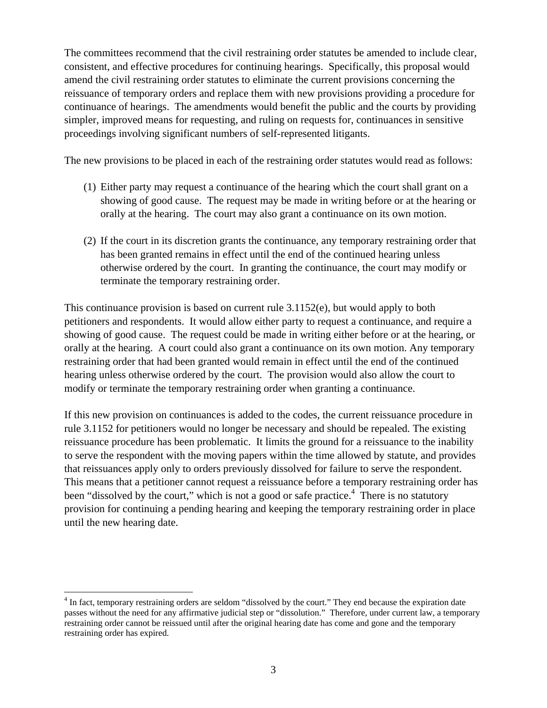The committees recommend that the civil restraining order statutes be amended to include clear, consistent, and effective procedures for continuing hearings. Specifically, this proposal would amend the civil restraining order statutes to eliminate the current provisions concerning the reissuance of temporary orders and replace them with new provisions providing a procedure for continuance of hearings. The amendments would benefit the public and the courts by providing simpler, improved means for requesting, and ruling on requests for, continuances in sensitive proceedings involving significant numbers of self-represented litigants.

The new provisions to be placed in each of the restraining order statutes would read as follows:

- (1) Either party may request a continuance of the hearing which the court shall grant on a showing of good cause. The request may be made in writing before or at the hearing or orally at the hearing. The court may also grant a continuance on its own motion.
- (2) If the court in its discretion grants the continuance, any temporary restraining order that has been granted remains in effect until the end of the continued hearing unless otherwise ordered by the court. In granting the continuance, the court may modify or terminate the temporary restraining order.

This continuance provision is based on current rule 3.1152(e), but would apply to both petitioners and respondents. It would allow either party to request a continuance, and require a showing of good cause. The request could be made in writing either before or at the hearing, or orally at the hearing. A court could also grant a continuance on its own motion. Any temporary restraining order that had been granted would remain in effect until the end of the continued hearing unless otherwise ordered by the court. The provision would also allow the court to modify or terminate the temporary restraining order when granting a continuance.

If this new provision on continuances is added to the codes, the current reissuance procedure in rule 3.1152 for petitioners would no longer be necessary and should be repealed. The existing reissuance procedure has been problematic. It limits the ground for a reissuance to the inability to serve the respondent with the moving papers within the time allowed by statute, and provides that reissuances apply only to orders previously dissolved for failure to serve the respondent. This means that a petitioner cannot request a reissuance before a temporary restraining order has been "dissolved by the court," which is not a good or safe practice.<sup>4</sup> There is no statutory provision for continuing a pending hearing and keeping the temporary restraining order in place until the new hearing date.

 $\overline{a}$ 

<sup>&</sup>lt;sup>4</sup> In fact, temporary restraining orders are seldom "dissolved by the court." They end because the expiration date passes without the need for any affirmative judicial step or "dissolution." Therefore, under current law, a temporary restraining order cannot be reissued until after the original hearing date has come and gone and the temporary restraining order has expired.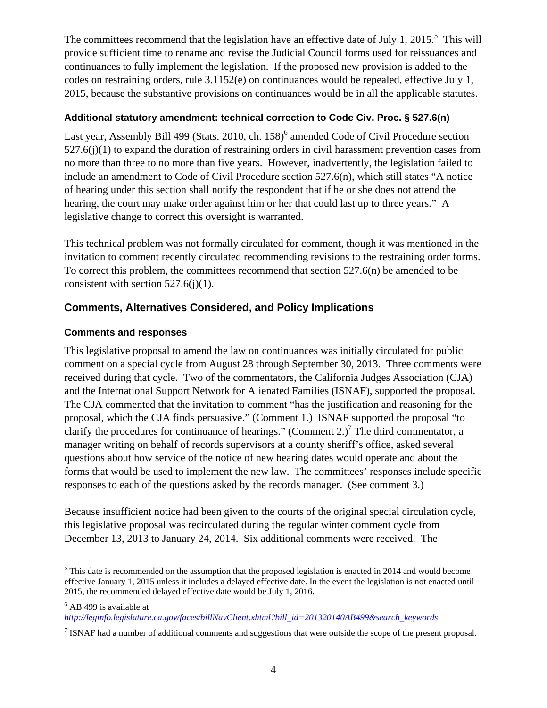The committees recommend that the legislation have an effective date of July 1, 2015.<sup>5</sup> This will provide sufficient time to rename and revise the Judicial Council forms used for reissuances and continuances to fully implement the legislation. If the proposed new provision is added to the codes on restraining orders, rule 3.1152(e) on continuances would be repealed, effective July 1, 2015, because the substantive provisions on continuances would be in all the applicable statutes.

### **Additional statutory amendment: technical correction to Code Civ. Proc. § 527.6(n)**

Last year, Assembly Bill 499 (Stats. 2010, ch. 158)<sup>6</sup> amended Code of Civil Procedure section  $527.6(i)(1)$  to expand the duration of restraining orders in civil harassment prevention cases from no more than three to no more than five years. However, inadvertently, the legislation failed to include an amendment to Code of Civil Procedure section 527.6(n), which still states "A notice of hearing under this section shall notify the respondent that if he or she does not attend the hearing, the court may make order against him or her that could last up to three years." A legislative change to correct this oversight is warranted.

This technical problem was not formally circulated for comment, though it was mentioned in the invitation to comment recently circulated recommending revisions to the restraining order forms. To correct this problem, the committees recommend that section 527.6(n) be amended to be consistent with section  $527.6(i)(1)$ .

### **Comments, Alternatives Considered, and Policy Implications**

### **Comments and responses**

This legislative proposal to amend the law on continuances was initially circulated for public comment on a special cycle from August 28 through September 30, 2013. Three comments were received during that cycle. Two of the commentators, the California Judges Association (CJA) and the International Support Network for Alienated Families (ISNAF), supported the proposal. The CJA commented that the invitation to comment "has the justification and reasoning for the proposal, which the CJA finds persuasive." (Comment 1.) ISNAF supported the proposal "to clarify the procedures for continuance of hearings." (Comment 2.)<sup>7</sup> The third commentator, a manager writing on behalf of records supervisors at a county sheriff's office, asked several questions about how service of the notice of new hearing dates would operate and about the forms that would be used to implement the new law. The committees' responses include specific responses to each of the questions asked by the records manager. (See comment 3.)

Because insufficient notice had been given to the courts of the original special circulation cycle, this legislative proposal was recirculated during the regular winter comment cycle from December 13, 2013 to January 24, 2014. Six additional comments were received. The

 $\overline{a}$ <sup>5</sup> This date is recommended on the assumption that the proposed legislation is enacted in 2014 and would become effective January 1, 2015 unless it includes a delayed effective date. In the event the legislation is not enacted until 2015, the recommended delayed effective date would be July 1, 2016.

<sup>&</sup>lt;sup>6</sup> AB 499 is available at

*http://leginfo.legislature.ca.gov/faces/billNavClient.xhtml?bill\_id=201320140AB499&search\_keywords*

<sup>&</sup>lt;sup>7</sup> ISNAF had a number of additional comments and suggestions that were outside the scope of the present proposal.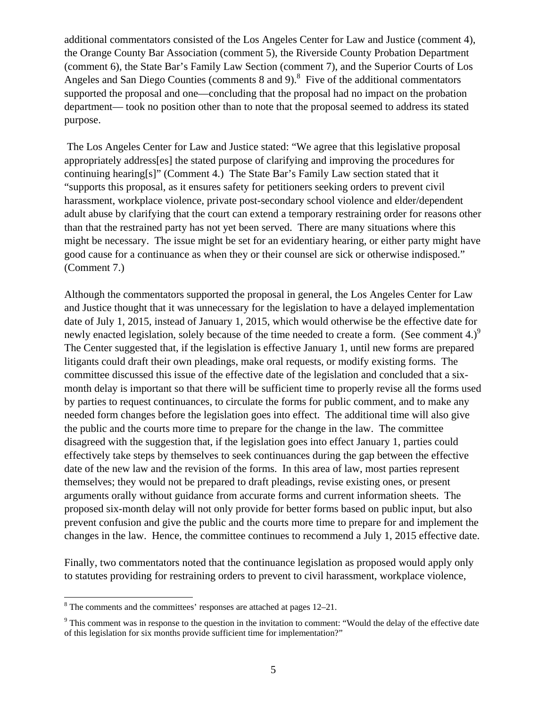additional commentators consisted of the Los Angeles Center for Law and Justice (comment 4), the Orange County Bar Association (comment 5), the Riverside County Probation Department (comment 6), the State Bar's Family Law Section (comment 7), and the Superior Courts of Los Angeles and San Diego Counties (comments  $8$  and  $9$ ).<sup>8</sup> Five of the additional commentators supported the proposal and one—concluding that the proposal had no impact on the probation department— took no position other than to note that the proposal seemed to address its stated purpose.

 The Los Angeles Center for Law and Justice stated: "We agree that this legislative proposal appropriately address[es] the stated purpose of clarifying and improving the procedures for continuing hearing[s]" (Comment 4.) The State Bar's Family Law section stated that it "supports this proposal, as it ensures safety for petitioners seeking orders to prevent civil harassment, workplace violence, private post-secondary school violence and elder/dependent adult abuse by clarifying that the court can extend a temporary restraining order for reasons other than that the restrained party has not yet been served. There are many situations where this might be necessary. The issue might be set for an evidentiary hearing, or either party might have good cause for a continuance as when they or their counsel are sick or otherwise indisposed." (Comment 7.)

Although the commentators supported the proposal in general, the Los Angeles Center for Law and Justice thought that it was unnecessary for the legislation to have a delayed implementation date of July 1, 2015, instead of January 1, 2015, which would otherwise be the effective date for newly enacted legislation, solely because of the time needed to create a form. (See comment 4.) $^9$ The Center suggested that, if the legislation is effective January 1, until new forms are prepared litigants could draft their own pleadings, make oral requests, or modify existing forms. The committee discussed this issue of the effective date of the legislation and concluded that a sixmonth delay is important so that there will be sufficient time to properly revise all the forms used by parties to request continuances, to circulate the forms for public comment, and to make any needed form changes before the legislation goes into effect. The additional time will also give the public and the courts more time to prepare for the change in the law. The committee disagreed with the suggestion that, if the legislation goes into effect January 1, parties could effectively take steps by themselves to seek continuances during the gap between the effective date of the new law and the revision of the forms. In this area of law, most parties represent themselves; they would not be prepared to draft pleadings, revise existing ones, or present arguments orally without guidance from accurate forms and current information sheets. The proposed six-month delay will not only provide for better forms based on public input, but also prevent confusion and give the public and the courts more time to prepare for and implement the changes in the law. Hence, the committee continues to recommend a July 1, 2015 effective date.

Finally, two commentators noted that the continuance legislation as proposed would apply only to statutes providing for restraining orders to prevent to civil harassment, workplace violence,

<sup>&</sup>lt;sup>8</sup> The comments and the committees' responses are attached at pages 12–21.

 $9$  This comment was in response to the question in the invitation to comment: "Would the delay of the effective date of this legislation for six months provide sufficient time for implementation?"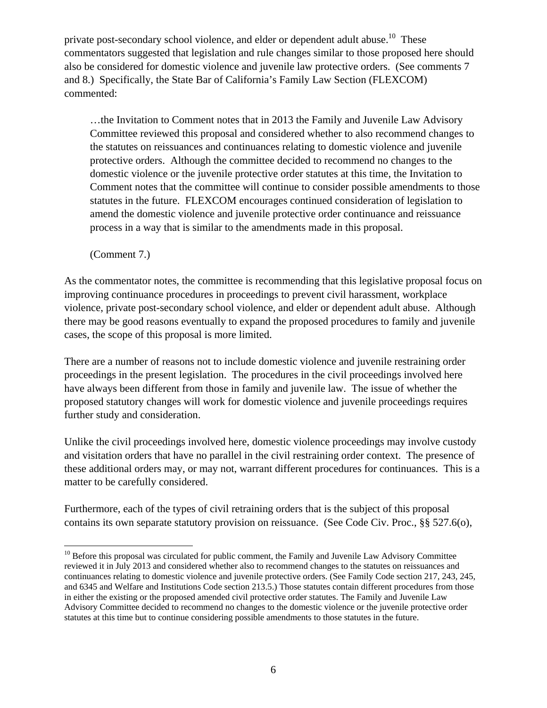private post-secondary school violence, and elder or dependent adult abuse.<sup>10</sup> These commentators suggested that legislation and rule changes similar to those proposed here should also be considered for domestic violence and juvenile law protective orders. (See comments 7 and 8.) Specifically, the State Bar of California's Family Law Section (FLEXCOM) commented:

…the Invitation to Comment notes that in 2013 the Family and Juvenile Law Advisory Committee reviewed this proposal and considered whether to also recommend changes to the statutes on reissuances and continuances relating to domestic violence and juvenile protective orders. Although the committee decided to recommend no changes to the domestic violence or the juvenile protective order statutes at this time, the Invitation to Comment notes that the committee will continue to consider possible amendments to those statutes in the future. FLEXCOM encourages continued consideration of legislation to amend the domestic violence and juvenile protective order continuance and reissuance process in a way that is similar to the amendments made in this proposal.

(Comment 7.)

 $\overline{a}$ 

As the commentator notes, the committee is recommending that this legislative proposal focus on improving continuance procedures in proceedings to prevent civil harassment, workplace violence, private post-secondary school violence, and elder or dependent adult abuse. Although there may be good reasons eventually to expand the proposed procedures to family and juvenile cases, the scope of this proposal is more limited.

There are a number of reasons not to include domestic violence and juvenile restraining order proceedings in the present legislation. The procedures in the civil proceedings involved here have always been different from those in family and juvenile law. The issue of whether the proposed statutory changes will work for domestic violence and juvenile proceedings requires further study and consideration.

Unlike the civil proceedings involved here, domestic violence proceedings may involve custody and visitation orders that have no parallel in the civil restraining order context. The presence of these additional orders may, or may not, warrant different procedures for continuances. This is a matter to be carefully considered.

Furthermore, each of the types of civil retraining orders that is the subject of this proposal contains its own separate statutory provision on reissuance. (See Code Civ. Proc., §§ 527.6(o),

<sup>&</sup>lt;sup>10</sup> Before this proposal was circulated for public comment, the Family and Juvenile Law Advisory Committee reviewed it in July 2013 and considered whether also to recommend changes to the statutes on reissuances and continuances relating to domestic violence and juvenile protective orders. (See Family Code section 217, 243, 245, and 6345 and Welfare and Institutions Code section 213.5.) Those statutes contain different procedures from those in either the existing or the proposed amended civil protective order statutes. The Family and Juvenile Law Advisory Committee decided to recommend no changes to the domestic violence or the juvenile protective order statutes at this time but to continue considering possible amendments to those statutes in the future.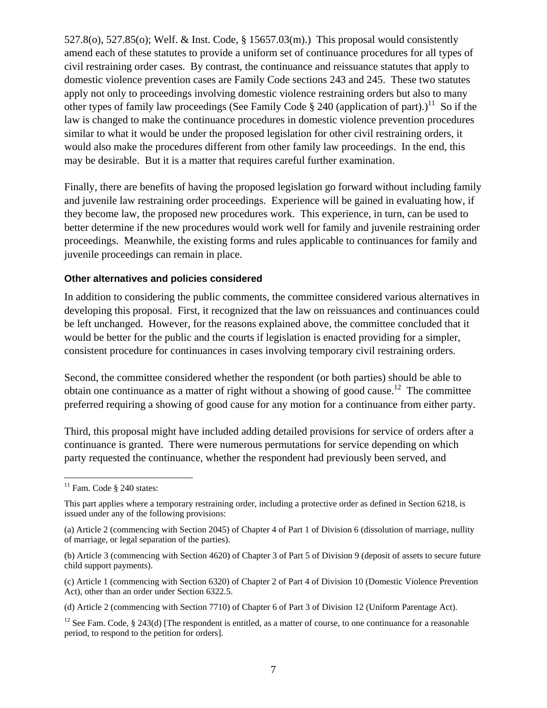527.8(o), 527.85(o); Welf. & Inst. Code, § 15657.03(m).) This proposal would consistently amend each of these statutes to provide a uniform set of continuance procedures for all types of civil restraining order cases. By contrast, the continuance and reissuance statutes that apply to domestic violence prevention cases are Family Code sections 243 and 245. These two statutes apply not only to proceedings involving domestic violence restraining orders but also to many other types of family law proceedings (See Family Code  $\S 240$  (application of part).)<sup>11</sup> So if the law is changed to make the continuance procedures in domestic violence prevention procedures similar to what it would be under the proposed legislation for other civil restraining orders, it would also make the procedures different from other family law proceedings. In the end, this may be desirable. But it is a matter that requires careful further examination.

Finally, there are benefits of having the proposed legislation go forward without including family and juvenile law restraining order proceedings. Experience will be gained in evaluating how, if they become law, the proposed new procedures work. This experience, in turn, can be used to better determine if the new procedures would work well for family and juvenile restraining order proceedings. Meanwhile, the existing forms and rules applicable to continuances for family and juvenile proceedings can remain in place.

#### **Other alternatives and policies considered**

In addition to considering the public comments, the committee considered various alternatives in developing this proposal. First, it recognized that the law on reissuances and continuances could be left unchanged. However, for the reasons explained above, the committee concluded that it would be better for the public and the courts if legislation is enacted providing for a simpler, consistent procedure for continuances in cases involving temporary civil restraining orders.

Second, the committee considered whether the respondent (or both parties) should be able to obtain one continuance as a matter of right without a showing of good cause.<sup>12</sup> The committee preferred requiring a showing of good cause for any motion for a continuance from either party.

Third, this proposal might have included adding detailed provisions for service of orders after a continuance is granted. There were numerous permutations for service depending on which party requested the continuance, whether the respondent had previously been served, and

<u>.</u>

 $11$  Fam. Code § 240 states:

This part applies where a temporary restraining order, including a protective order as defined in Section 6218, is issued under any of the following provisions:

<sup>(</sup>a) Article 2 (commencing with Section 2045) of Chapter 4 of Part 1 of Division 6 (dissolution of marriage, nullity of marriage, or legal separation of the parties).

<sup>(</sup>b) Article 3 (commencing with Section 4620) of Chapter 3 of Part 5 of Division 9 (deposit of assets to secure future child support payments).

<sup>(</sup>c) Article 1 (commencing with Section 6320) of Chapter 2 of Part 4 of Division 10 (Domestic Violence Prevention Act), other than an order under Section 6322.5.

<sup>(</sup>d) Article 2 (commencing with Section 7710) of Chapter 6 of Part 3 of Division 12 (Uniform Parentage Act).

<sup>&</sup>lt;sup>12</sup> See Fam. Code, § 243(d) [The respondent is entitled, as a matter of course, to one continuance for a reasonable period, to respond to the petition for orders].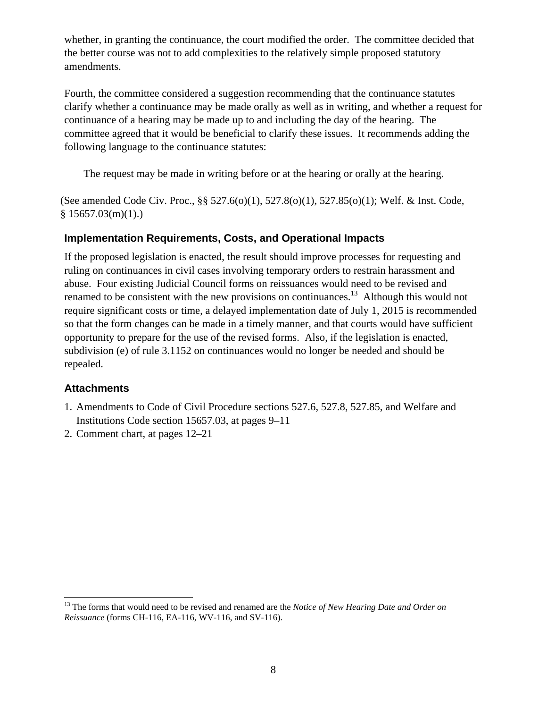whether, in granting the continuance, the court modified the order. The committee decided that the better course was not to add complexities to the relatively simple proposed statutory amendments.

Fourth, the committee considered a suggestion recommending that the continuance statutes clarify whether a continuance may be made orally as well as in writing, and whether a request for continuance of a hearing may be made up to and including the day of the hearing. The committee agreed that it would be beneficial to clarify these issues. It recommends adding the following language to the continuance statutes:

The request may be made in writing before or at the hearing or orally at the hearing.

(See amended Code Civ. Proc., §§ 527.6(o)(1), 527.8(o)(1), 527.85(o)(1); Welf. & Inst. Code,  $$15657.03(m)(1)$ .)

### **Implementation Requirements, Costs, and Operational Impacts**

If the proposed legislation is enacted, the result should improve processes for requesting and ruling on continuances in civil cases involving temporary orders to restrain harassment and abuse. Four existing Judicial Council forms on reissuances would need to be revised and renamed to be consistent with the new provisions on continuances.<sup>13</sup> Although this would not require significant costs or time, a delayed implementation date of July 1, 2015 is recommended so that the form changes can be made in a timely manner, and that courts would have sufficient opportunity to prepare for the use of the revised forms. Also, if the legislation is enacted, subdivision (e) of rule 3.1152 on continuances would no longer be needed and should be repealed.

### **Attachments**

 $\overline{a}$ 

- 1. Amendments to Code of Civil Procedure sections 527.6, 527.8, 527.85, and Welfare and Institutions Code section 15657.03, at pages 9–11
- 2. Comment chart, at pages 12–21

<sup>&</sup>lt;sup>13</sup> The forms that would need to be revised and renamed are the *Notice of New Hearing Date and Order on Reissuance* (forms CH-116, EA-116, WV-116, and SV-116).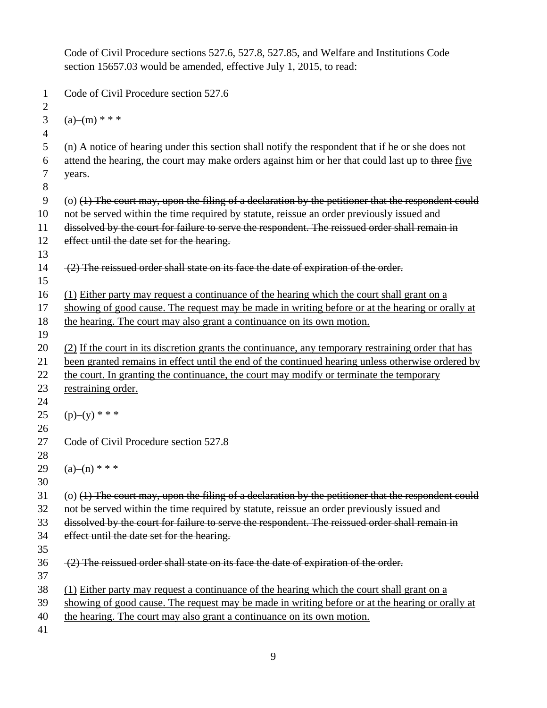Code of Civil Procedure sections 527.6, 527.8, 527.85, and Welfare and Institutions Code section 15657.03 would be amended, effective July 1, 2015, to read: 1 Code of Civil Procedure section 527.6 2 3 (a)–(m)  $***$ 4 5 (n) A notice of hearing under this section shall notify the respondent that if he or she does not 6 attend the hearing, the court may make orders against him or her that could last up to three five 7 years. 8  $9$  (o) (1) The court may, upon the filing of a declaration by the petitioner that the respondent could 10 not be served within the time required by statute, reissue an order previously issued and 11 dissolved by the court for failure to serve the respondent. The reissued order shall remain in 12 effect until the date set for the hearing. 13 14 (2) The reissued order shall state on its face the date of expiration of the order. 15 16 (1) Either party may request a continuance of the hearing which the court shall grant on a 17 showing of good cause. The request may be made in writing before or at the hearing or orally at 18 the hearing. The court may also grant a continuance on its own motion. 19 20 (2) If the court in its discretion grants the continuance, any temporary restraining order that has 21 been granted remains in effect until the end of the continued hearing unless otherwise ordered by 22 the court. In granting the continuance, the court may modify or terminate the temporary 23 restraining order. 24 25 (p)–(y) \* \* \* 26 27 Code of Civil Procedure section 527.8 28 29  $(a)$ – $(n)$  \* \* \* 30  $31$  (o) (1) The court may, upon the filing of a declaration by the petitioner that the respondent could 32 not be served within the time required by statute, reissue an order previously issued and 33 dissolved by the court for failure to serve the respondent. The reissued order shall remain in 34 effect until the date set for the hearing. 35  $36$  (2) The reissued order shall state on its face the date of expiration of the order. 37 38 (1) Either party may request a continuance of the hearing which the court shall grant on a 39 showing of good cause. The request may be made in writing before or at the hearing or orally at 40 the hearing. The court may also grant a continuance on its own motion. 41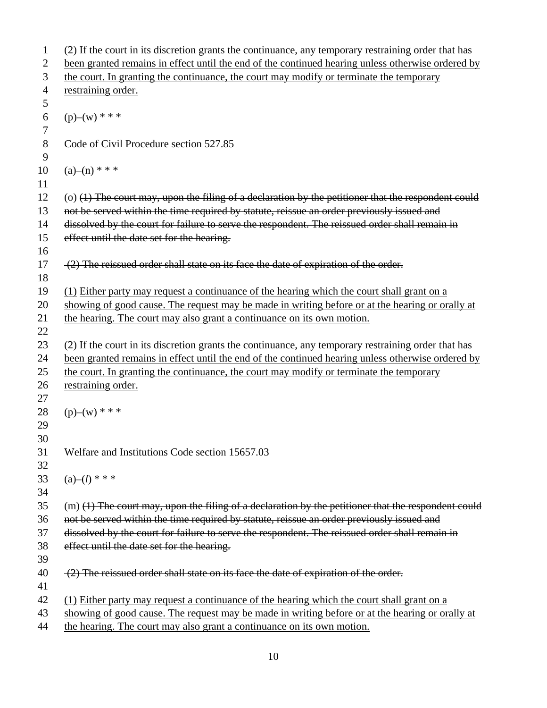```
1 (2) If the court in its discretion grants the continuance, any temporary restraining order that has 
 2 been granted remains in effect until the end of the continued hearing unless otherwise ordered by 
 3 the court. In granting the continuance, the court may modify or terminate the temporary 
 4 restraining order.
 5 
 6 (p)–(w) * * *
 7 
 8 Code of Civil Procedure section 527.85 
 9 
10 \quad (a)-(n) * * *
11 
12 (o) (1) The court may, upon the filing of a declaration by the petitioner that the respondent could 
13 not be served within the time required by statute, reissue an order previously issued and
14 dissolved by the court for failure to serve the respondent. The reissued order shall remain in 
15 effect until the date set for the hearing.
16 
17 (2) The reissued order shall state on its face the date of expiration of the order.
18 
19 (1) Either party may request a continuance of the hearing which the court shall grant on a 
20 showing of good cause. The request may be made in writing before or at the hearing or orally at 
21 the hearing. The court may also grant a continuance on its own motion. 
22 
23 (2) If the court in its discretion grants the continuance, any temporary restraining order that has 
24 been granted remains in effect until the end of the continued hearing unless otherwise ordered by 
25 the court. In granting the continuance, the court may modify or terminate the temporary 
26 restraining order.
27 
28 (p)–(w) * * *
29 
30 
31 Welfare and Institutions Code section 15657.03 
32 
33 (a)–(l) * * *
34 
35 (m) (1) The court may, upon the filing of a declaration by the petitioner that the respondent could 
36 not be served within the time required by statute, reissue an order previously issued and 
37 dissolved by the court for failure to serve the respondent. The reissued order shall remain in 
38 effect until the date set for the hearing.
39 
40 \quad (2) The reissued order shall state on its face the date of expiration of the order.
41 
42 (1) Either party may request a continuance of the hearing which the court shall grant on a 
43 showing of good cause. The request may be made in writing before or at the hearing or orally at 
44 the hearing. The court may also grant a continuance on its own motion.
```
10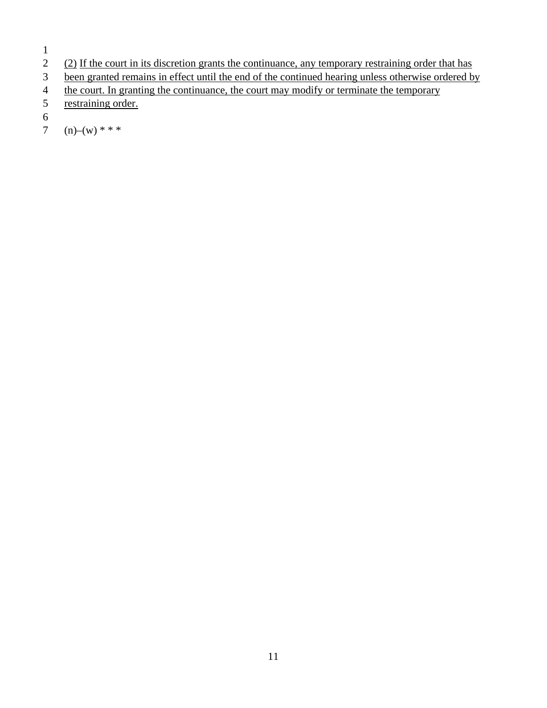1

- 
- 2 (2) If the court in its discretion grants the continuance, any temporary restraining order that has been granted remains in effect until the end of the continued hearing unless otherwise ordered by been granted remains in effect until the end of the continued hearing unless otherwise ordered by
- 4 the court. In granting the continuance, the court may modify or terminate the temporary
- 5 restraining order.
- 6
- 7 (n)–(w) \* \* \*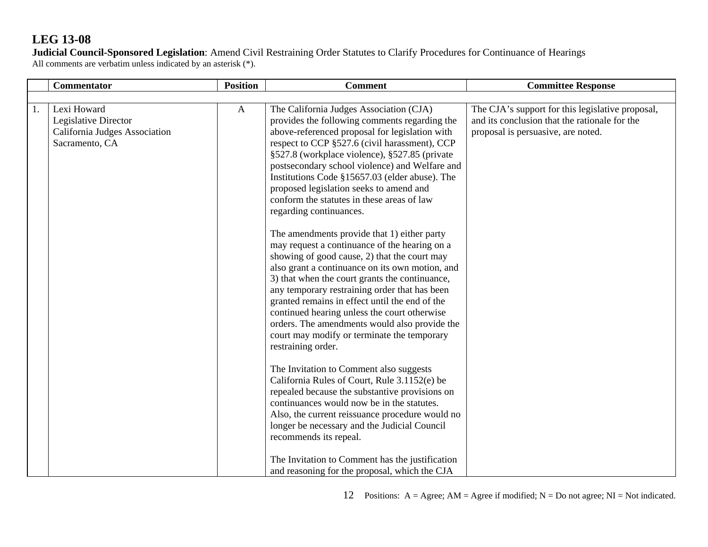**Judicial Council-Sponsored Legislation**: Amend Civil Restraining Order Statutes to Clarify Procedures for Continuance of Hearings All comments are verbatim unless indicated by an asterisk (\*).

|    | <b>Commentator</b>                                                                     | <b>Position</b> | <b>Comment</b>                                                                                                                                                                                                                                                                                                                                                                                                                                                                                                                                                                                                                                                                                                                                                                                                                                                                                                                                                                                                                                | <b>Committee Response</b>                                                                                                               |
|----|----------------------------------------------------------------------------------------|-----------------|-----------------------------------------------------------------------------------------------------------------------------------------------------------------------------------------------------------------------------------------------------------------------------------------------------------------------------------------------------------------------------------------------------------------------------------------------------------------------------------------------------------------------------------------------------------------------------------------------------------------------------------------------------------------------------------------------------------------------------------------------------------------------------------------------------------------------------------------------------------------------------------------------------------------------------------------------------------------------------------------------------------------------------------------------|-----------------------------------------------------------------------------------------------------------------------------------------|
|    |                                                                                        |                 |                                                                                                                                                                                                                                                                                                                                                                                                                                                                                                                                                                                                                                                                                                                                                                                                                                                                                                                                                                                                                                               |                                                                                                                                         |
| 1. | Lexi Howard<br>Legislative Director<br>California Judges Association<br>Sacramento, CA | $\mathbf{A}$    | The California Judges Association (CJA)<br>provides the following comments regarding the<br>above-referenced proposal for legislation with<br>respect to CCP §527.6 (civil harassment), CCP<br>§527.8 (workplace violence), §527.85 (private<br>postsecondary school violence) and Welfare and<br>Institutions Code §15657.03 (elder abuse). The<br>proposed legislation seeks to amend and<br>conform the statutes in these areas of law<br>regarding continuances.<br>The amendments provide that 1) either party<br>may request a continuance of the hearing on a<br>showing of good cause, 2) that the court may<br>also grant a continuance on its own motion, and<br>3) that when the court grants the continuance,<br>any temporary restraining order that has been<br>granted remains in effect until the end of the<br>continued hearing unless the court otherwise<br>orders. The amendments would also provide the<br>court may modify or terminate the temporary<br>restraining order.<br>The Invitation to Comment also suggests | The CJA's support for this legislative proposal,<br>and its conclusion that the rationale for the<br>proposal is persuasive, are noted. |
|    |                                                                                        |                 | California Rules of Court, Rule 3.1152(e) be<br>repealed because the substantive provisions on<br>continuances would now be in the statutes.<br>Also, the current reissuance procedure would no<br>longer be necessary and the Judicial Council<br>recommends its repeal.                                                                                                                                                                                                                                                                                                                                                                                                                                                                                                                                                                                                                                                                                                                                                                     |                                                                                                                                         |
|    |                                                                                        |                 | The Invitation to Comment has the justification<br>and reasoning for the proposal, which the CJA                                                                                                                                                                                                                                                                                                                                                                                                                                                                                                                                                                                                                                                                                                                                                                                                                                                                                                                                              |                                                                                                                                         |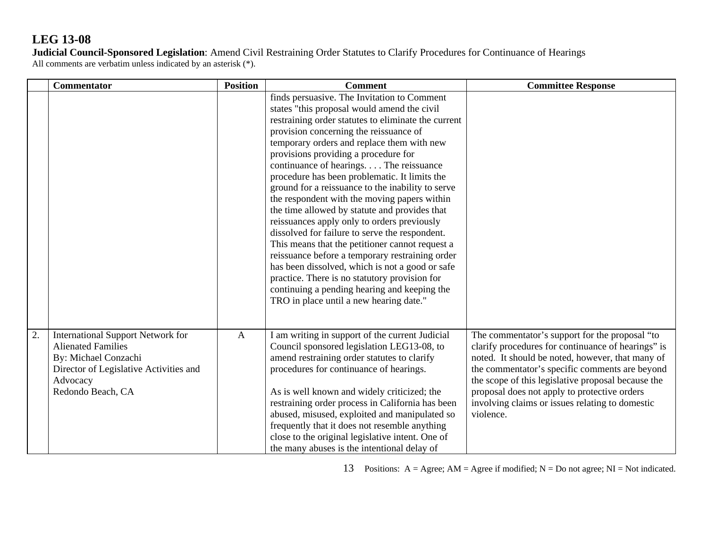**Judicial Council-Sponsored Legislation**: Amend Civil Restraining Order Statutes to Clarify Procedures for Continuance of Hearings All comments are verbatim unless indicated by an asterisk (\*).

|    | <b>Commentator</b>                                                                                                                                                       | <b>Position</b> | <b>Comment</b>                                                                                                                                                                                                                                                                                                                                                                                                                                                                                                                                                                                                                                                                                                                                                                                                                                                                                                                           | <b>Committee Response</b>                                                                                                                                                                                                                                                                                                                                                        |
|----|--------------------------------------------------------------------------------------------------------------------------------------------------------------------------|-----------------|------------------------------------------------------------------------------------------------------------------------------------------------------------------------------------------------------------------------------------------------------------------------------------------------------------------------------------------------------------------------------------------------------------------------------------------------------------------------------------------------------------------------------------------------------------------------------------------------------------------------------------------------------------------------------------------------------------------------------------------------------------------------------------------------------------------------------------------------------------------------------------------------------------------------------------------|----------------------------------------------------------------------------------------------------------------------------------------------------------------------------------------------------------------------------------------------------------------------------------------------------------------------------------------------------------------------------------|
|    |                                                                                                                                                                          |                 | finds persuasive. The Invitation to Comment<br>states "this proposal would amend the civil<br>restraining order statutes to eliminate the current<br>provision concerning the reissuance of<br>temporary orders and replace them with new<br>provisions providing a procedure for<br>continuance of hearings The reissuance<br>procedure has been problematic. It limits the<br>ground for a reissuance to the inability to serve<br>the respondent with the moving papers within<br>the time allowed by statute and provides that<br>reissuances apply only to orders previously<br>dissolved for failure to serve the respondent.<br>This means that the petitioner cannot request a<br>reissuance before a temporary restraining order<br>has been dissolved, which is not a good or safe<br>practice. There is no statutory provision for<br>continuing a pending hearing and keeping the<br>TRO in place until a new hearing date." |                                                                                                                                                                                                                                                                                                                                                                                  |
| 2. | <b>International Support Network for</b><br><b>Alienated Families</b><br>By: Michael Conzachi<br>Director of Legislative Activities and<br>Advocacy<br>Redondo Beach, CA | $\mathbf{A}$    | I am writing in support of the current Judicial<br>Council sponsored legislation LEG13-08, to<br>amend restraining order statutes to clarify<br>procedures for continuance of hearings.<br>As is well known and widely criticized; the<br>restraining order process in California has been<br>abused, misused, exploited and manipulated so<br>frequently that it does not resemble anything<br>close to the original legislative intent. One of<br>the many abuses is the intentional delay of                                                                                                                                                                                                                                                                                                                                                                                                                                          | The commentator's support for the proposal "to<br>clarify procedures for continuance of hearings" is<br>noted. It should be noted, however, that many of<br>the commentator's specific comments are beyond<br>the scope of this legislative proposal because the<br>proposal does not apply to protective orders<br>involving claims or issues relating to domestic<br>violence. |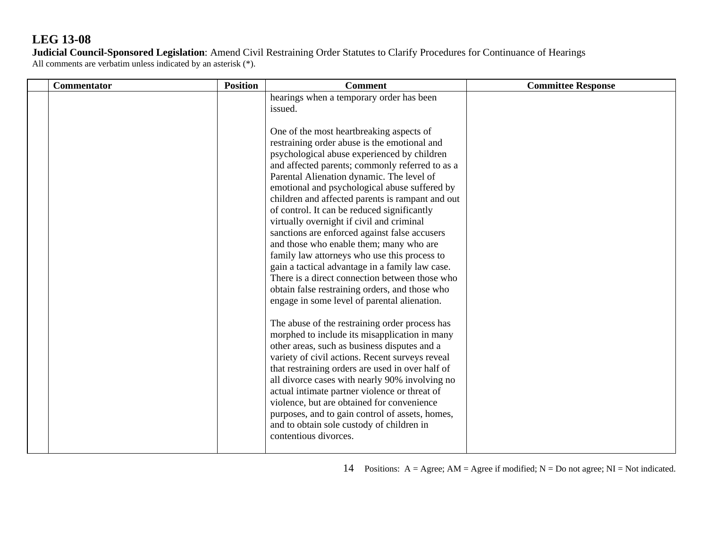**Judicial Council-Sponsored Legislation**: Amend Civil Restraining Order Statutes to Clarify Procedures for Continuance of Hearings All comments are verbatim unless indicated by an asterisk (\*).

| Commentator | <b>Position</b> | <b>Comment</b>                                                                                                                                                                                                                                                                                                                                                                                                                                                                                                                                                                                                                                                                                                                                                                                                                                                                                                                                                                                                                                                                                               | <b>Committee Response</b> |
|-------------|-----------------|--------------------------------------------------------------------------------------------------------------------------------------------------------------------------------------------------------------------------------------------------------------------------------------------------------------------------------------------------------------------------------------------------------------------------------------------------------------------------------------------------------------------------------------------------------------------------------------------------------------------------------------------------------------------------------------------------------------------------------------------------------------------------------------------------------------------------------------------------------------------------------------------------------------------------------------------------------------------------------------------------------------------------------------------------------------------------------------------------------------|---------------------------|
|             |                 | hearings when a temporary order has been<br>issued.<br>One of the most heartbreaking aspects of<br>restraining order abuse is the emotional and<br>psychological abuse experienced by children<br>and affected parents; commonly referred to as a<br>Parental Alienation dynamic. The level of<br>emotional and psychological abuse suffered by<br>children and affected parents is rampant and out<br>of control. It can be reduced significantly<br>virtually overnight if civil and criminal<br>sanctions are enforced against false accusers<br>and those who enable them; many who are<br>family law attorneys who use this process to<br>gain a tactical advantage in a family law case.<br>There is a direct connection between those who<br>obtain false restraining orders, and those who<br>engage in some level of parental alienation.<br>The abuse of the restraining order process has<br>morphed to include its misapplication in many<br>other areas, such as business disputes and a<br>variety of civil actions. Recent surveys reveal<br>that restraining orders are used in over half of |                           |
|             |                 | all divorce cases with nearly 90% involving no<br>actual intimate partner violence or threat of<br>violence, but are obtained for convenience<br>purposes, and to gain control of assets, homes,<br>and to obtain sole custody of children in<br>contentious divorces.                                                                                                                                                                                                                                                                                                                                                                                                                                                                                                                                                                                                                                                                                                                                                                                                                                       |                           |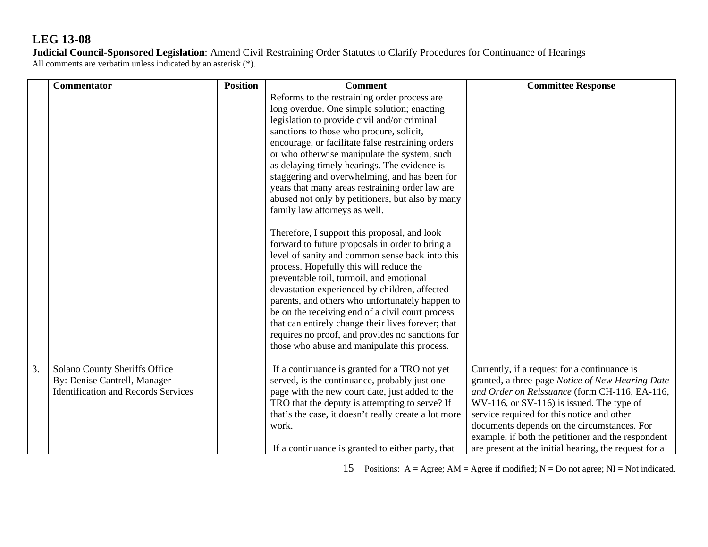**Judicial Council-Sponsored Legislation**: Amend Civil Restraining Order Statutes to Clarify Procedures for Continuance of Hearings All comments are verbatim unless indicated by an asterisk (\*).

|    | <b>Commentator</b>                                                                                          | <b>Position</b> | <b>Comment</b>                                                                                                                                                                                                                                                                                                                                                                                                                                                                                                                                                                                                                                                                                                                                                                                                                                                                                                                                                                                                                                                                                       | <b>Committee Response</b>                                                                                                                                                                                                                                                                                                                                                                                        |
|----|-------------------------------------------------------------------------------------------------------------|-----------------|------------------------------------------------------------------------------------------------------------------------------------------------------------------------------------------------------------------------------------------------------------------------------------------------------------------------------------------------------------------------------------------------------------------------------------------------------------------------------------------------------------------------------------------------------------------------------------------------------------------------------------------------------------------------------------------------------------------------------------------------------------------------------------------------------------------------------------------------------------------------------------------------------------------------------------------------------------------------------------------------------------------------------------------------------------------------------------------------------|------------------------------------------------------------------------------------------------------------------------------------------------------------------------------------------------------------------------------------------------------------------------------------------------------------------------------------------------------------------------------------------------------------------|
|    |                                                                                                             |                 | Reforms to the restraining order process are<br>long overdue. One simple solution; enacting<br>legislation to provide civil and/or criminal<br>sanctions to those who procure, solicit,<br>encourage, or facilitate false restraining orders<br>or who otherwise manipulate the system, such<br>as delaying timely hearings. The evidence is<br>staggering and overwhelming, and has been for<br>years that many areas restraining order law are<br>abused not only by petitioners, but also by many<br>family law attorneys as well.<br>Therefore, I support this proposal, and look<br>forward to future proposals in order to bring a<br>level of sanity and common sense back into this<br>process. Hopefully this will reduce the<br>preventable toil, turmoil, and emotional<br>devastation experienced by children, affected<br>parents, and others who unfortunately happen to<br>be on the receiving end of a civil court process<br>that can entirely change their lives forever; that<br>requires no proof, and provides no sanctions for<br>those who abuse and manipulate this process. |                                                                                                                                                                                                                                                                                                                                                                                                                  |
| 3. | Solano County Sheriffs Office<br>By: Denise Cantrell, Manager<br><b>Identification and Records Services</b> |                 | If a continuance is granted for a TRO not yet<br>served, is the continuance, probably just one<br>page with the new court date, just added to the<br>TRO that the deputy is attempting to serve? If<br>that's the case, it doesn't really create a lot more<br>work.<br>If a continuance is granted to either party, that                                                                                                                                                                                                                                                                                                                                                                                                                                                                                                                                                                                                                                                                                                                                                                            | Currently, if a request for a continuance is<br>granted, a three-page Notice of New Hearing Date<br>and Order on Reissuance (form CH-116, EA-116,<br>$WV-116$ , or $SV-116$ ) is issued. The type of<br>service required for this notice and other<br>documents depends on the circumstances. For<br>example, if both the petitioner and the respondent<br>are present at the initial hearing, the request for a |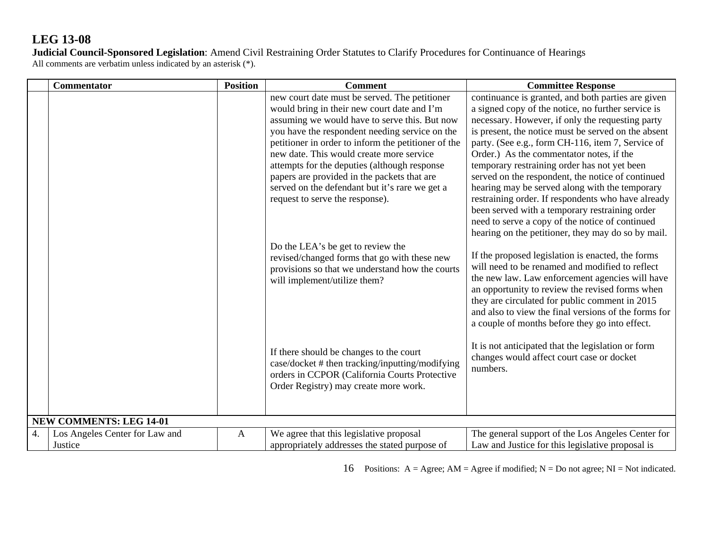**Judicial Council-Sponsored Legislation**: Amend Civil Restraining Order Statutes to Clarify Procedures for Continuance of Hearings All comments are verbatim unless indicated by an asterisk (\*).

|    | <b>Commentator</b>                        | <b>Position</b> | <b>Comment</b>                                                                                                                                                                                                                                                                                                                                                                                                                                                                         | <b>Committee Response</b>                                                                                                                                                                                                                                                                                                                                                                                                                                                                                                                                                                                                                                                                    |
|----|-------------------------------------------|-----------------|----------------------------------------------------------------------------------------------------------------------------------------------------------------------------------------------------------------------------------------------------------------------------------------------------------------------------------------------------------------------------------------------------------------------------------------------------------------------------------------|----------------------------------------------------------------------------------------------------------------------------------------------------------------------------------------------------------------------------------------------------------------------------------------------------------------------------------------------------------------------------------------------------------------------------------------------------------------------------------------------------------------------------------------------------------------------------------------------------------------------------------------------------------------------------------------------|
|    |                                           |                 | new court date must be served. The petitioner<br>would bring in their new court date and I'm<br>assuming we would have to serve this. But now<br>you have the respondent needing service on the<br>petitioner in order to inform the petitioner of the<br>new date. This would create more service<br>attempts for the deputies (although response<br>papers are provided in the packets that are<br>served on the defendant but it's rare we get a<br>request to serve the response). | continuance is granted, and both parties are given<br>a signed copy of the notice, no further service is<br>necessary. However, if only the requesting party<br>is present, the notice must be served on the absent<br>party. (See e.g., form CH-116, item 7, Service of<br>Order.) As the commentator notes, if the<br>temporary restraining order has not yet been<br>served on the respondent, the notice of continued<br>hearing may be served along with the temporary<br>restraining order. If respondents who have already<br>been served with a temporary restraining order<br>need to serve a copy of the notice of continued<br>hearing on the petitioner, they may do so by mail. |
|    |                                           |                 | Do the LEA's be get to review the<br>revised/changed forms that go with these new<br>provisions so that we understand how the courts<br>will implement/utilize them?                                                                                                                                                                                                                                                                                                                   | If the proposed legislation is enacted, the forms<br>will need to be renamed and modified to reflect<br>the new law. Law enforcement agencies will have<br>an opportunity to review the revised forms when<br>they are circulated for public comment in 2015<br>and also to view the final versions of the forms for<br>a couple of months before they go into effect.                                                                                                                                                                                                                                                                                                                       |
|    |                                           |                 | If there should be changes to the court<br>case/docket # then tracking/inputting/modifying<br>orders in CCPOR (California Courts Protective<br>Order Registry) may create more work.                                                                                                                                                                                                                                                                                                   | It is not anticipated that the legislation or form<br>changes would affect court case or docket<br>numbers.                                                                                                                                                                                                                                                                                                                                                                                                                                                                                                                                                                                  |
|    | <b>NEW COMMENTS: LEG 14-01</b>            |                 |                                                                                                                                                                                                                                                                                                                                                                                                                                                                                        |                                                                                                                                                                                                                                                                                                                                                                                                                                                                                                                                                                                                                                                                                              |
| 4. | Los Angeles Center for Law and<br>Justice | $\mathbf{A}$    | We agree that this legislative proposal<br>appropriately addresses the stated purpose of                                                                                                                                                                                                                                                                                                                                                                                               | The general support of the Los Angeles Center for<br>Law and Justice for this legislative proposal is                                                                                                                                                                                                                                                                                                                                                                                                                                                                                                                                                                                        |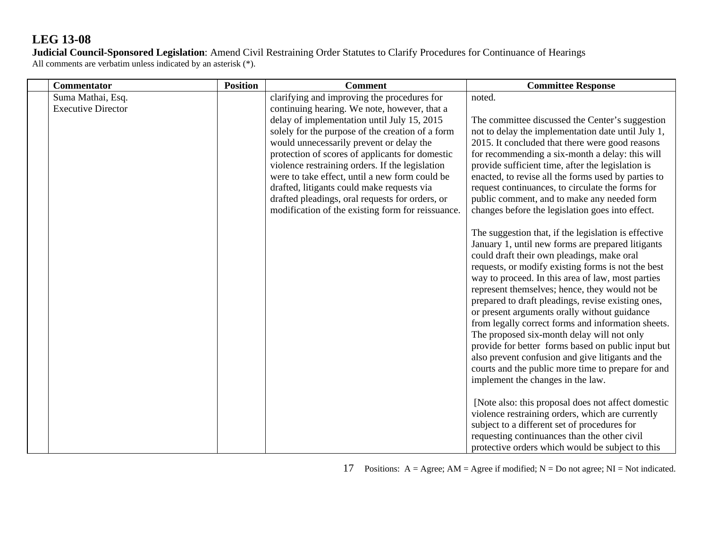**Judicial Council-Sponsored Legislation**: Amend Civil Restraining Order Statutes to Clarify Procedures for Continuance of Hearings All comments are verbatim unless indicated by an asterisk (\*).

| Commentator                                    | <b>Position</b> | <b>Comment</b>                                                                                                                                                                                                                                                                                                                                                                                                                                                                                                                                           | <b>Committee Response</b>                                                                                                                                                                                                                                                                                                                                                                                                                                                                                                                                                                                                                                                                                                                                                                                                                                                                                                                                                                                                                                                                                                                                                                                                                                                                                                                                                                                                                                                                      |
|------------------------------------------------|-----------------|----------------------------------------------------------------------------------------------------------------------------------------------------------------------------------------------------------------------------------------------------------------------------------------------------------------------------------------------------------------------------------------------------------------------------------------------------------------------------------------------------------------------------------------------------------|------------------------------------------------------------------------------------------------------------------------------------------------------------------------------------------------------------------------------------------------------------------------------------------------------------------------------------------------------------------------------------------------------------------------------------------------------------------------------------------------------------------------------------------------------------------------------------------------------------------------------------------------------------------------------------------------------------------------------------------------------------------------------------------------------------------------------------------------------------------------------------------------------------------------------------------------------------------------------------------------------------------------------------------------------------------------------------------------------------------------------------------------------------------------------------------------------------------------------------------------------------------------------------------------------------------------------------------------------------------------------------------------------------------------------------------------------------------------------------------------|
| Suma Mathai, Esq.<br><b>Executive Director</b> |                 | clarifying and improving the procedures for<br>continuing hearing. We note, however, that a<br>delay of implementation until July 15, 2015<br>solely for the purpose of the creation of a form<br>would unnecessarily prevent or delay the<br>protection of scores of applicants for domestic<br>violence restraining orders. If the legislation<br>were to take effect, until a new form could be<br>drafted, litigants could make requests via<br>drafted pleadings, oral requests for orders, or<br>modification of the existing form for reissuance. | noted.<br>The committee discussed the Center's suggestion<br>not to delay the implementation date until July 1,<br>2015. It concluded that there were good reasons<br>for recommending a six-month a delay: this will<br>provide sufficient time, after the legislation is<br>enacted, to revise all the forms used by parties to<br>request continuances, to circulate the forms for<br>public comment, and to make any needed form<br>changes before the legislation goes into effect.<br>The suggestion that, if the legislation is effective<br>January 1, until new forms are prepared litigants<br>could draft their own pleadings, make oral<br>requests, or modify existing forms is not the best<br>way to proceed. In this area of law, most parties<br>represent themselves; hence, they would not be<br>prepared to draft pleadings, revise existing ones,<br>or present arguments orally without guidance<br>from legally correct forms and information sheets.<br>The proposed six-month delay will not only<br>provide for better forms based on public input but<br>also prevent confusion and give litigants and the<br>courts and the public more time to prepare for and<br>implement the changes in the law.<br>[Note also: this proposal does not affect domestic<br>violence restraining orders, which are currently<br>subject to a different set of procedures for<br>requesting continuances than the other civil<br>protective orders which would be subject to this |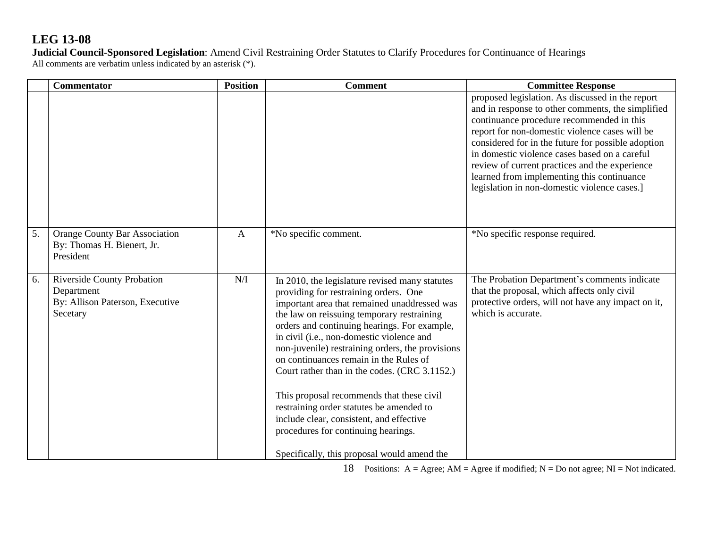**Judicial Council-Sponsored Legislation**: Amend Civil Restraining Order Statutes to Clarify Procedures for Continuance of Hearings All comments are verbatim unless indicated by an asterisk (\*).

|    | <b>Commentator</b>                                                                             | <b>Position</b> | <b>Comment</b>                                                                                                                                                                                                                                                                                                                                                                                                                                                                                                                                                                                                                                               | <b>Committee Response</b>                                                                                                                                                                                                                                                                                                                                                                                                                                   |
|----|------------------------------------------------------------------------------------------------|-----------------|--------------------------------------------------------------------------------------------------------------------------------------------------------------------------------------------------------------------------------------------------------------------------------------------------------------------------------------------------------------------------------------------------------------------------------------------------------------------------------------------------------------------------------------------------------------------------------------------------------------------------------------------------------------|-------------------------------------------------------------------------------------------------------------------------------------------------------------------------------------------------------------------------------------------------------------------------------------------------------------------------------------------------------------------------------------------------------------------------------------------------------------|
|    |                                                                                                |                 |                                                                                                                                                                                                                                                                                                                                                                                                                                                                                                                                                                                                                                                              | proposed legislation. As discussed in the report<br>and in response to other comments, the simplified<br>continuance procedure recommended in this<br>report for non-domestic violence cases will be<br>considered for in the future for possible adoption<br>in domestic violence cases based on a careful<br>review of current practices and the experience<br>learned from implementing this continuance<br>legislation in non-domestic violence cases.] |
| 5. | <b>Orange County Bar Association</b><br>By: Thomas H. Bienert, Jr.<br>President                | $\mathbf{A}$    | *No specific comment.                                                                                                                                                                                                                                                                                                                                                                                                                                                                                                                                                                                                                                        | *No specific response required.                                                                                                                                                                                                                                                                                                                                                                                                                             |
| 6. | <b>Riverside County Probation</b><br>Department<br>By: Allison Paterson, Executive<br>Secetary | N/I             | In 2010, the legislature revised many statutes<br>providing for restraining orders. One<br>important area that remained unaddressed was<br>the law on reissuing temporary restraining<br>orders and continuing hearings. For example,<br>in civil (i.e., non-domestic violence and<br>non-juvenile) restraining orders, the provisions<br>on continuances remain in the Rules of<br>Court rather than in the codes. (CRC 3.1152.)<br>This proposal recommends that these civil<br>restraining order statutes be amended to<br>include clear, consistent, and effective<br>procedures for continuing hearings.<br>Specifically, this proposal would amend the | The Probation Department's comments indicate<br>that the proposal, which affects only civil<br>protective orders, will not have any impact on it,<br>which is accurate.                                                                                                                                                                                                                                                                                     |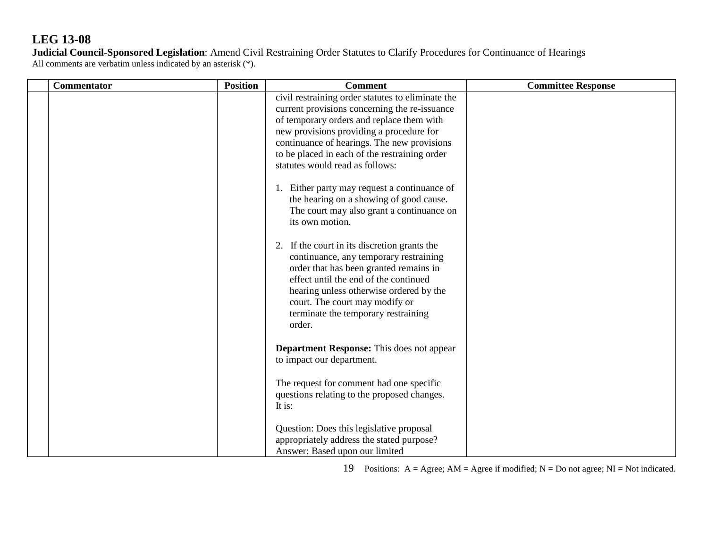**Judicial Council-Sponsored Legislation**: Amend Civil Restraining Order Statutes to Clarify Procedures for Continuance of Hearings All comments are verbatim unless indicated by an asterisk (\*).

| Commentator | <b>Position</b> | <b>Comment</b>                                                                                                                                                                                                                                                                                                                 | <b>Committee Response</b> |
|-------------|-----------------|--------------------------------------------------------------------------------------------------------------------------------------------------------------------------------------------------------------------------------------------------------------------------------------------------------------------------------|---------------------------|
|             |                 | civil restraining order statutes to eliminate the<br>current provisions concerning the re-issuance<br>of temporary orders and replace them with<br>new provisions providing a procedure for<br>continuance of hearings. The new provisions<br>to be placed in each of the restraining order<br>statutes would read as follows: |                           |
|             |                 | 1. Either party may request a continuance of<br>the hearing on a showing of good cause.<br>The court may also grant a continuance on<br>its own motion.                                                                                                                                                                        |                           |
|             |                 | 2. If the court in its discretion grants the<br>continuance, any temporary restraining<br>order that has been granted remains in<br>effect until the end of the continued<br>hearing unless otherwise ordered by the<br>court. The court may modify or<br>terminate the temporary restraining<br>order.                        |                           |
|             |                 | <b>Department Response:</b> This does not appear<br>to impact our department.                                                                                                                                                                                                                                                  |                           |
|             |                 | The request for comment had one specific<br>questions relating to the proposed changes.<br>It is:                                                                                                                                                                                                                              |                           |
|             |                 | Question: Does this legislative proposal<br>appropriately address the stated purpose?<br>Answer: Based upon our limited                                                                                                                                                                                                        |                           |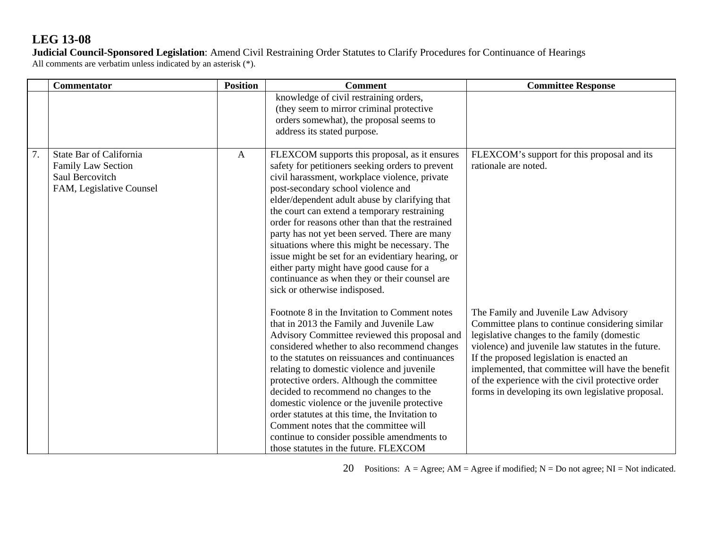**Judicial Council-Sponsored Legislation**: Amend Civil Restraining Order Statutes to Clarify Procedures for Continuance of Hearings All comments are verbatim unless indicated by an asterisk (\*).

|    | <b>Commentator</b>                                                                           | <b>Position</b> | <b>Comment</b>                                                                                                                                                                                                                                                                                                                                                                                                                                                                                                                                                                                                                      | <b>Committee Response</b>                                                                                                                                                                                                                                                                                                                                                                                |
|----|----------------------------------------------------------------------------------------------|-----------------|-------------------------------------------------------------------------------------------------------------------------------------------------------------------------------------------------------------------------------------------------------------------------------------------------------------------------------------------------------------------------------------------------------------------------------------------------------------------------------------------------------------------------------------------------------------------------------------------------------------------------------------|----------------------------------------------------------------------------------------------------------------------------------------------------------------------------------------------------------------------------------------------------------------------------------------------------------------------------------------------------------------------------------------------------------|
|    |                                                                                              |                 | knowledge of civil restraining orders,<br>(they seem to mirror criminal protective<br>orders somewhat), the proposal seems to<br>address its stated purpose.                                                                                                                                                                                                                                                                                                                                                                                                                                                                        |                                                                                                                                                                                                                                                                                                                                                                                                          |
| 7. | State Bar of California<br>Family Law Section<br>Saul Bercovitch<br>FAM, Legislative Counsel | $\mathbf{A}$    | FLEXCOM supports this proposal, as it ensures<br>safety for petitioners seeking orders to prevent<br>civil harassment, workplace violence, private<br>post-secondary school violence and<br>elder/dependent adult abuse by clarifying that<br>the court can extend a temporary restraining<br>order for reasons other than that the restrained<br>party has not yet been served. There are many<br>situations where this might be necessary. The<br>issue might be set for an evidentiary hearing, or<br>either party might have good cause for a<br>continuance as when they or their counsel are<br>sick or otherwise indisposed. | FLEXCOM's support for this proposal and its<br>rationale are noted.                                                                                                                                                                                                                                                                                                                                      |
|    |                                                                                              |                 | Footnote 8 in the Invitation to Comment notes<br>that in 2013 the Family and Juvenile Law<br>Advisory Committee reviewed this proposal and<br>considered whether to also recommend changes<br>to the statutes on reissuances and continuances<br>relating to domestic violence and juvenile<br>protective orders. Although the committee<br>decided to recommend no changes to the<br>domestic violence or the juvenile protective<br>order statutes at this time, the Invitation to<br>Comment notes that the committee will<br>continue to consider possible amendments to<br>those statutes in the future. FLEXCOM               | The Family and Juvenile Law Advisory<br>Committee plans to continue considering similar<br>legislative changes to the family (domestic<br>violence) and juvenile law statutes in the future.<br>If the proposed legislation is enacted an<br>implemented, that committee will have the benefit<br>of the experience with the civil protective order<br>forms in developing its own legislative proposal. |